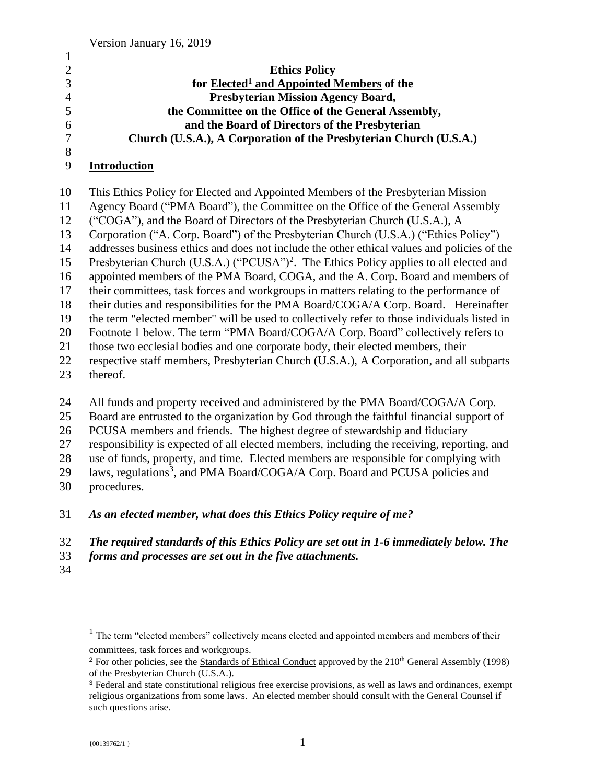| $\overline{2}$ | <b>Ethics Policy</b>                                               |
|----------------|--------------------------------------------------------------------|
| 3              | for Elected <sup>1</sup> and Appointed Members of the              |
| $\overline{4}$ | <b>Presbyterian Mission Agency Board,</b>                          |
| 5              | the Committee on the Office of the General Assembly,               |
| 6              | and the Board of Directors of the Presbyterian                     |
| 7              | Church (U.S.A.), A Corporation of the Presbyterian Church (U.S.A.) |
| 8              |                                                                    |

#### **Introduction**

 This Ethics Policy for Elected and Appointed Members of the Presbyterian Mission Agency Board ("PMA Board"), the Committee on the Office of the General Assembly ("COGA"), and the Board of Directors of the Presbyterian Church (U.S.A.), A Corporation ("A. Corp. Board") of the Presbyterian Church (U.S.A.) ("Ethics Policy") addresses business ethics and does not include the other ethical values and policies of the 15 Presbyterian Church (U.S.A.) ("PCUSA")<sup>2</sup>. The Ethics Policy applies to all elected and appointed members of the PMA Board, COGA, and the A. Corp. Board and members of their committees, task forces and workgroups in matters relating to the performance of their duties and responsibilities for the PMA Board/COGA/A Corp. Board. Hereinafter the term "elected member" will be used to collectively refer to those individuals listed in Footnote 1 below. The term "PMA Board/COGA/A Corp. Board" collectively refers to those two ecclesial bodies and one corporate body, their elected members, their respective staff members, Presbyterian Church (U.S.A.), A Corporation, and all subparts thereof.

- 24 All funds and property received and administered by the PMA Board/COGA/A Corp.
- Board are entrusted to the organization by God through the faithful financial support of
- PCUSA members and friends. The highest degree of stewardship and fiduciary
- responsibility is expected of all elected members, including the receiving, reporting, and

use of funds, property, and time. Elected members are responsible for complying with

- 29 laws, regulations<sup>3</sup>, and PMA Board/COGA/A Corp. Board and PCUSA policies and
- procedures.

#### *As an elected member, what does this Ethics Policy require of me?*

## *The required standards of this Ethics Policy are set out in 1-6 immediately below. The*

- *forms and processes are set out in the five attachments.*
- 

 $<sup>1</sup>$  The term "elected members" collectively means elected and appointed members and members of their</sup> committees, task forces and workgroups.

<sup>&</sup>lt;sup>2</sup> For other policies, see the Standards of Ethical Conduct approved by the  $210<sup>th</sup>$  General Assembly (1998) of the Presbyterian Church (U.S.A.).

 Federal and state constitutional religious free exercise provisions, as well as laws and ordinances, exempt religious organizations from some laws. An elected member should consult with the General Counsel if such questions arise.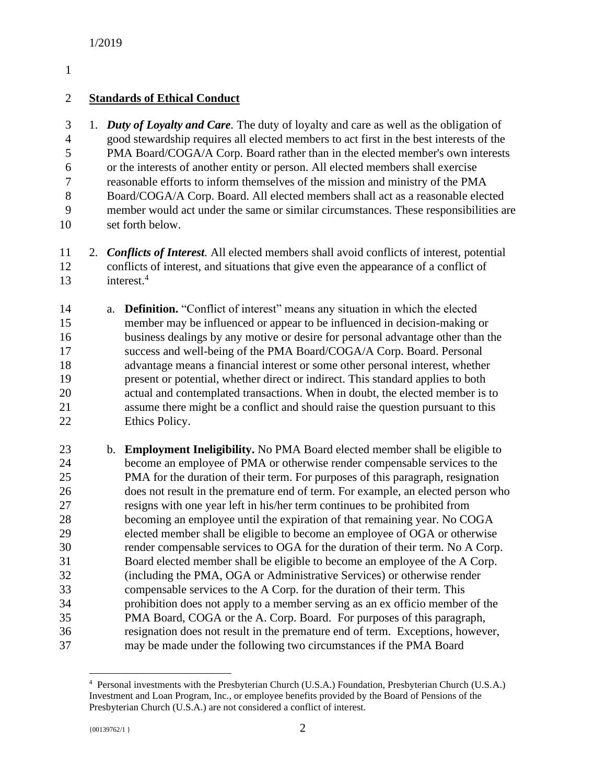### **Standards of Ethical Conduct**

 1. *Duty of Loyalty and Care.* The duty of loyalty and care as well as the obligation of good stewardship requires all elected members to act first in the best interests of the PMA Board/COGA/A Corp. Board rather than in the elected member's own interests or the interests of another entity or person. All elected members shall exercise reasonable efforts to inform themselves of the mission and ministry of the PMA Board/COGA/A Corp. Board. All elected members shall act as a reasonable elected member would act under the same or similar circumstances. These responsibilities are set forth below.

- 2. *Conflicts of Interest.* All elected members shall avoid conflicts of interest, potential conflicts of interest, and situations that give even the appearance of a conflict of interest.<sup>4</sup>
- a. **Definition.** "Conflict of interest" means any situation in which the elected member may be influenced or appear to be influenced in decision-making or business dealings by any motive or desire for personal advantage other than the success and well-being of the PMA Board/COGA/A Corp. Board. Personal advantage means a financial interest or some other personal interest, whether present or potential, whether direct or indirect. This standard applies to both actual and contemplated transactions. When in doubt, the elected member is to assume there might be a conflict and should raise the question pursuant to this Ethics Policy.
- b. **Employment Ineligibility.** No PMA Board elected member shall be eligible to become an employee of PMA or otherwise render compensable services to the PMA for the duration of their term. For purposes of this paragraph, resignation does not result in the premature end of term. For example, an elected person who resigns with one year left in his/her term continues to be prohibited from becoming an employee until the expiration of that remaining year. No COGA elected member shall be eligible to become an employee of OGA or otherwise render compensable services to OGA for the duration of their term. No A Corp. Board elected member shall be eligible to become an employee of the A Corp. (including the PMA, OGA or Administrative Services) or otherwise render compensable services to the A Corp. for the duration of their term. This prohibition does not apply to a member serving as an ex officio member of the PMA Board, COGA or the A. Corp. Board. For purposes of this paragraph, resignation does not result in the premature end of term. Exceptions, however, may be made under the following two circumstances if the PMA Board

 Personal investments with the Presbyterian Church (U.S.A.) Foundation, Presbyterian Church (U.S.A.) Investment and Loan Program, Inc., or employee benefits provided by the Board of Pensions of the Presbyterian Church (U.S.A.) are not considered a conflict of interest.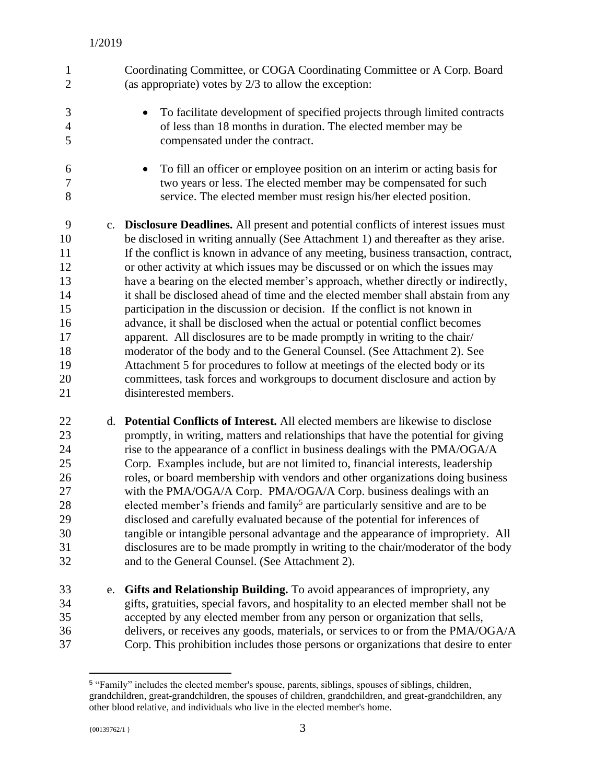| 1<br>$\overline{2}$                                                       |    | Coordinating Committee, or COGA Coordinating Committee or A Corp. Board<br>(as appropriate) votes by $2/3$ to allow the exception:                                                                                                                                                                                                                                                                                                                                                                                                                                                                                                                                                                                                                                                                                                                                                                                                                                                                                                             |
|---------------------------------------------------------------------------|----|------------------------------------------------------------------------------------------------------------------------------------------------------------------------------------------------------------------------------------------------------------------------------------------------------------------------------------------------------------------------------------------------------------------------------------------------------------------------------------------------------------------------------------------------------------------------------------------------------------------------------------------------------------------------------------------------------------------------------------------------------------------------------------------------------------------------------------------------------------------------------------------------------------------------------------------------------------------------------------------------------------------------------------------------|
| 3<br>$\overline{4}$<br>5                                                  |    | To facilitate development of specified projects through limited contracts<br>of less than 18 months in duration. The elected member may be<br>compensated under the contract.                                                                                                                                                                                                                                                                                                                                                                                                                                                                                                                                                                                                                                                                                                                                                                                                                                                                  |
| 6<br>7<br>8                                                               |    | To fill an officer or employee position on an interim or acting basis for<br>$\bullet$<br>two years or less. The elected member may be compensated for such<br>service. The elected member must resign his/her elected position.                                                                                                                                                                                                                                                                                                                                                                                                                                                                                                                                                                                                                                                                                                                                                                                                               |
| 9<br>10<br>11<br>12<br>13<br>14<br>15<br>16<br>17<br>18<br>19<br>20<br>21 |    | c. Disclosure Deadlines. All present and potential conflicts of interest issues must<br>be disclosed in writing annually (See Attachment 1) and thereafter as they arise.<br>If the conflict is known in advance of any meeting, business transaction, contract,<br>or other activity at which issues may be discussed or on which the issues may<br>have a bearing on the elected member's approach, whether directly or indirectly,<br>it shall be disclosed ahead of time and the elected member shall abstain from any<br>participation in the discussion or decision. If the conflict is not known in<br>advance, it shall be disclosed when the actual or potential conflict becomes<br>apparent. All disclosures are to be made promptly in writing to the chair/<br>moderator of the body and to the General Counsel. (See Attachment 2). See<br>Attachment 5 for procedures to follow at meetings of the elected body or its<br>committees, task forces and workgroups to document disclosure and action by<br>disinterested members. |
| 22<br>23<br>24<br>25<br>26<br>27<br>28<br>29<br>30<br>31<br>32            |    | d. Potential Conflicts of Interest. All elected members are likewise to disclose<br>promptly, in writing, matters and relationships that have the potential for giving<br>rise to the appearance of a conflict in business dealings with the PMA/OGA/A<br>Corp. Examples include, but are not limited to, financial interests, leadership<br>roles, or board membership with vendors and other organizations doing business<br>with the PMA/OGA/A Corp. PMA/OGA/A Corp. business dealings with an<br>elected member's friends and family <sup>5</sup> are particularly sensitive and are to be<br>disclosed and carefully evaluated because of the potential for inferences of<br>tangible or intangible personal advantage and the appearance of impropriety. All<br>disclosures are to be made promptly in writing to the chair/moderator of the body<br>and to the General Counsel. (See Attachment 2).                                                                                                                                     |
| 33<br>34<br>35<br>36<br>37                                                | e. | Gifts and Relationship Building. To avoid appearances of impropriety, any<br>gifts, gratuities, special favors, and hospitality to an elected member shall not be<br>accepted by any elected member from any person or organization that sells,<br>delivers, or receives any goods, materials, or services to or from the PMA/OGA/A<br>Corp. This prohibition includes those persons or organizations that desire to enter                                                                                                                                                                                                                                                                                                                                                                                                                                                                                                                                                                                                                     |

 "Family" includes the elected member's spouse, parents, siblings, spouses of siblings, children, grandchildren, great-grandchildren, the spouses of children, grandchildren, and great-grandchildren, any other blood relative, and individuals who live in the elected member's home.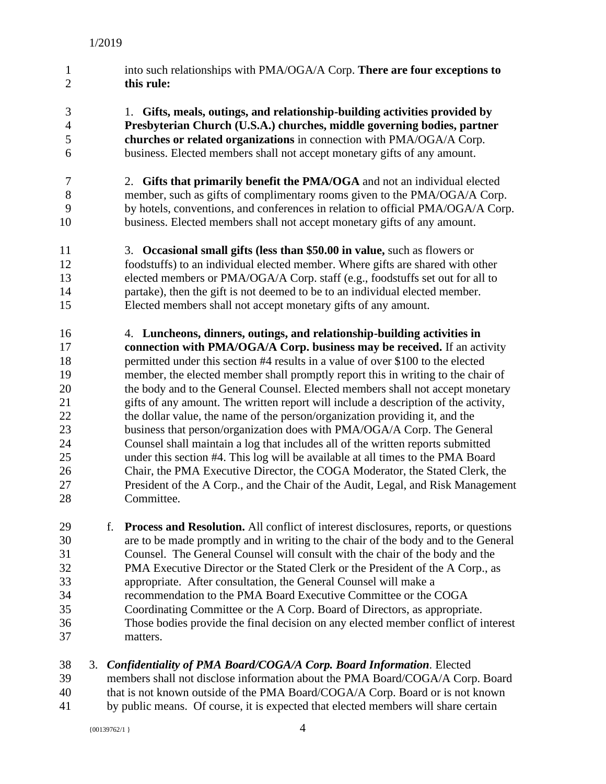- into such relationships with PMA/OGA/A Corp. **There are four exceptions to this rule:**
- 1. **Gifts, meals, outings, and relationship-building activities provided by Presbyterian Church (U.S.A.) churches, middle governing bodies, partner churches or related organizations** in connection with PMA/OGA/A Corp. business. Elected members shall not accept monetary gifts of any amount.
- 2. **Gifts that primarily benefit the PMA/OGA** and not an individual elected member, such as gifts of complimentary rooms given to the PMA/OGA/A Corp. by hotels, conventions, and conferences in relation to official PMA/OGA/A Corp. business. Elected members shall not accept monetary gifts of any amount.
- 3. **Occasional small gifts (less than \$50.00 in value,** such as flowers or foodstuffs) to an individual elected member. Where gifts are shared with other elected members or PMA/OGA/A Corp. staff (e.g., foodstuffs set out for all to partake), then the gift is not deemed to be to an individual elected member. Elected members shall not accept monetary gifts of any amount.
- 4. **Luncheons, dinners, outings, and relationship-building activities in connection with PMA/OGA/A Corp. business may be received.** If an activity permitted under this section #4 results in a value of over \$100 to the elected member, the elected member shall promptly report this in writing to the chair of the body and to the General Counsel. Elected members shall not accept monetary gifts of any amount. The written report will include a description of the activity, the dollar value, the name of the person/organization providing it, and the 23 business that person/organization does with PMA/OGA/A Corp. The General Counsel shall maintain a log that includes all of the written reports submitted under this section #4. This log will be available at all times to the PMA Board Chair, the PMA Executive Director, the COGA Moderator, the Stated Clerk, the President of the A Corp., and the Chair of the Audit, Legal, and Risk Management Committee.
- f. **Process and Resolution.** All conflict of interest disclosures, reports, or questions are to be made promptly and in writing to the chair of the body and to the General Counsel. The General Counsel will consult with the chair of the body and the PMA Executive Director or the Stated Clerk or the President of the A Corp., as appropriate. After consultation, the General Counsel will make a recommendation to the PMA Board Executive Committee or the COGA Coordinating Committee or the A Corp. Board of Directors, as appropriate. Those bodies provide the final decision on any elected member conflict of interest matters.
- 3. *Confidentiality of PMA Board/COGA/A Corp. Board Information.* Elected
- members shall not disclose information about the PMA Board/COGA/A Corp. Board
- that is not known outside of the PMA Board/COGA/A Corp. Board or is not known
- by public means. Of course, it is expected that elected members will share certain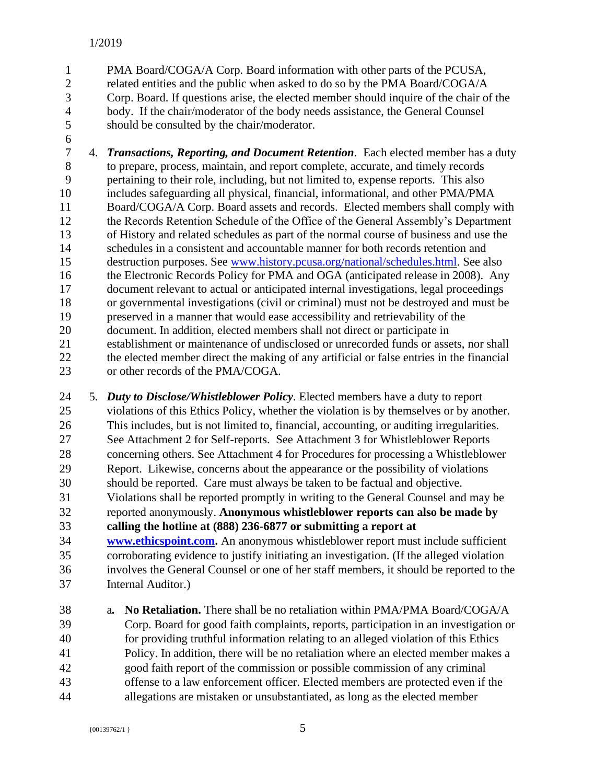- PMA Board/COGA/A Corp. Board information with other parts of the PCUSA, related entities and the public when asked to do so by the PMA Board/COGA/A Corp. Board. If questions arise, the elected member should inquire of the chair of the body. If the chair/moderator of the body needs assistance, the General Counsel should be consulted by the chair/moderator.
- 

 4. *Transactions, Reporting, and Document Retention.* Each elected member has a duty to prepare, process, maintain, and report complete, accurate, and timely records pertaining to their role, including, but not limited to, expense reports. This also includes safeguarding all physical, financial, informational, and other PMA/PMA Board/COGA/A Corp. Board assets and records. Elected members shall comply with the Records Retention Schedule of the Office of the General Assembly's Department of History and related schedules as part of the normal course of business and use the schedules in a consistent and accountable manner for both records retention and destruction purposes. See [www.history.pcusa.org/national/schedules.html.](http://www.history.pcusa.org/national/schedules.html) See also 16 the Electronic Records Policy for PMA and OGA (anticipated release in 2008). Any document relevant to actual or anticipated internal investigations, legal proceedings or governmental investigations (civil or criminal) must not be destroyed and must be preserved in a manner that would ease accessibility and retrievability of the document. In addition, elected members shall not direct or participate in establishment or maintenance of undisclosed or unrecorded funds or assets, nor shall the elected member direct the making of any artificial or false entries in the financial or other records of the PMA/COGA.

 5. *Duty to Disclose/Whistleblower Policy.* Elected members have a duty to report violations of this Ethics Policy, whether the violation is by themselves or by another. This includes, but is not limited to, financial, accounting, or auditing irregularities. See Attachment 2 for Self-reports. See Attachment 3 for Whistleblower Reports concerning others. See Attachment 4 for Procedures for processing a Whistleblower Report. Likewise, concerns about the appearance or the possibility of violations should be reported. Care must always be taken to be factual and objective. Violations shall be reported promptly in writing to the General Counsel and may be reported anonymously. **Anonymous whistleblower reports can also be made by calling the hotline at (888) 236-6877 or submitting a report at [www.ethicspoint.com.](file:///C:/Users/asherman/AppData/Local/Microsoft/Windows/INetCache/Content.Outlook/QG4QXCUG/www.ethicspoint.com)** An anonymous whistleblower report must include sufficient corroborating evidence to justify initiating an investigation. (If the alleged violation involves the General Counsel or one of her staff members, it should be reported to the Internal Auditor.)

 a*.* **No Retaliation.** There shall be no retaliation within PMA/PMA Board/COGA/A Corp. Board for good faith complaints, reports, participation in an investigation or for providing truthful information relating to an alleged violation of this Ethics Policy. In addition, there will be no retaliation where an elected member makes a good faith report of the commission or possible commission of any criminal offense to a law enforcement officer. Elected members are protected even if the allegations are mistaken or unsubstantiated, as long as the elected member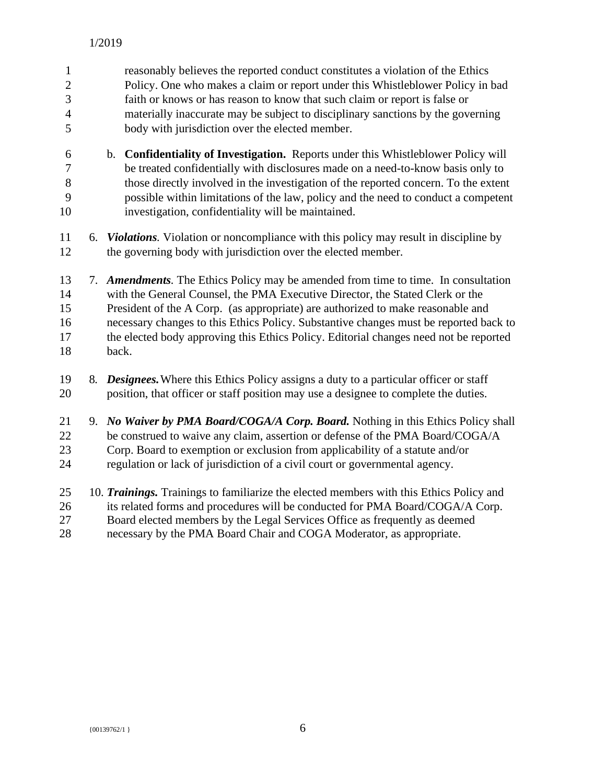| $\mathbf{1}$<br>$\overline{c}$<br>$\overline{3}$<br>$\overline{4}$<br>5 |    | reasonably believes the reported conduct constitutes a violation of the Ethics<br>Policy. One who makes a claim or report under this Whistleblower Policy in bad<br>faith or knows or has reason to know that such claim or report is false or<br>materially inaccurate may be subject to disciplinary sanctions by the governing<br>body with jurisdiction over the elected member.                                                              |
|-------------------------------------------------------------------------|----|---------------------------------------------------------------------------------------------------------------------------------------------------------------------------------------------------------------------------------------------------------------------------------------------------------------------------------------------------------------------------------------------------------------------------------------------------|
| 6<br>$\boldsymbol{7}$<br>$8\,$<br>9<br>10                               |    | b. Confidentiality of Investigation. Reports under this Whistleblower Policy will<br>be treated confidentially with disclosures made on a need-to-know basis only to<br>those directly involved in the investigation of the reported concern. To the extent<br>possible within limitations of the law, policy and the need to conduct a competent<br>investigation, confidentiality will be maintained.                                           |
| 11<br>12                                                                |    | 6. <i>Violations</i> . Violation or noncompliance with this policy may result in discipline by<br>the governing body with jurisdiction over the elected member.                                                                                                                                                                                                                                                                                   |
| 13<br>14<br>15<br>16<br>17<br>18                                        |    | 7. Amendments. The Ethics Policy may be amended from time to time. In consultation<br>with the General Counsel, the PMA Executive Director, the Stated Clerk or the<br>President of the A Corp. (as appropriate) are authorized to make reasonable and<br>necessary changes to this Ethics Policy. Substantive changes must be reported back to<br>the elected body approving this Ethics Policy. Editorial changes need not be reported<br>back. |
| 19<br>20                                                                | 8. | <b>Designees.</b> Where this Ethics Policy assigns a duty to a particular officer or staff<br>position, that officer or staff position may use a designee to complete the duties.                                                                                                                                                                                                                                                                 |
| 21<br>22<br>23<br>24                                                    |    | 9. No Waiver by PMA Board/COGA/A Corp. Board. Nothing in this Ethics Policy shall<br>be construed to waive any claim, assertion or defense of the PMA Board/COGA/A<br>Corp. Board to exemption or exclusion from applicability of a statute and/or<br>regulation or lack of jurisdiction of a civil court or governmental agency.                                                                                                                 |
| 25<br>26                                                                |    | 10. Trainings. Trainings to familiarize the elected members with this Ethics Policy and<br>its related forms and procedures will be conducted for PMA Board/COGA/A Corp.                                                                                                                                                                                                                                                                          |

 Board elected members by the Legal Services Office as frequently as deemed necessary by the PMA Board Chair and COGA Moderator, as appropriate.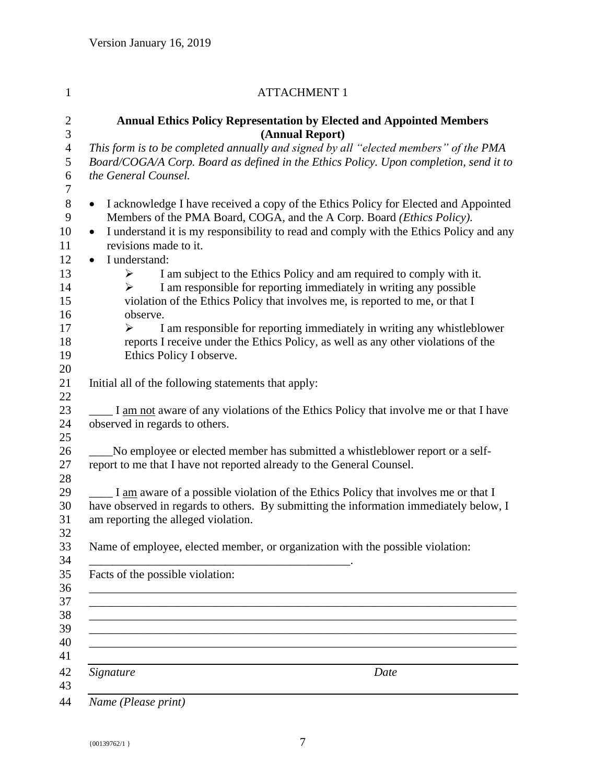|           | <b>ATTACHMENT 1</b>                                                                                                                                                                                                                                     |
|-----------|---------------------------------------------------------------------------------------------------------------------------------------------------------------------------------------------------------------------------------------------------------|
|           | <b>Annual Ethics Policy Representation by Elected and Appointed Members</b><br>(Annual Report)                                                                                                                                                          |
|           | This form is to be completed annually and signed by all "elected members" of the PMA                                                                                                                                                                    |
|           | Board/COGA/A Corp. Board as defined in the Ethics Policy. Upon completion, send it to<br>the General Counsel.                                                                                                                                           |
|           |                                                                                                                                                                                                                                                         |
| $\bullet$ | I acknowledge I have received a copy of the Ethics Policy for Elected and Appointed<br>Members of the PMA Board, COGA, and the A Corp. Board (Ethics Policy).<br>I understand it is my responsibility to read and comply with the Ethics Policy and any |
|           | revisions made to it.                                                                                                                                                                                                                                   |
| $\bullet$ | I understand:                                                                                                                                                                                                                                           |
|           | I am subject to the Ethics Policy and am required to comply with it.<br>➤<br>I am responsible for reporting immediately in writing any possible<br>≻<br>violation of the Ethics Policy that involves me, is reported to me, or that I<br>observe.       |
|           | I am responsible for reporting immediately in writing any whistleblower<br>➤<br>reports I receive under the Ethics Policy, as well as any other violations of the<br>Ethics Policy I observe.                                                           |
|           | Initial all of the following statements that apply:                                                                                                                                                                                                     |
|           | I am not aware of any violations of the Ethics Policy that involve me or that I have<br>observed in regards to others.                                                                                                                                  |
|           | No employee or elected member has submitted a whistleblower report or a self-<br>report to me that I have not reported already to the General Counsel.                                                                                                  |
|           | I am aware of a possible violation of the Ethics Policy that involves me or that I<br>have observed in regards to others. By submitting the information immediately below, I<br>am reporting the alleged violation.                                     |
|           | Name of employee, elected member, or organization with the possible violation:                                                                                                                                                                          |
|           | Facts of the possible violation:                                                                                                                                                                                                                        |
|           |                                                                                                                                                                                                                                                         |
|           |                                                                                                                                                                                                                                                         |
|           |                                                                                                                                                                                                                                                         |
|           | Signature<br>Date                                                                                                                                                                                                                                       |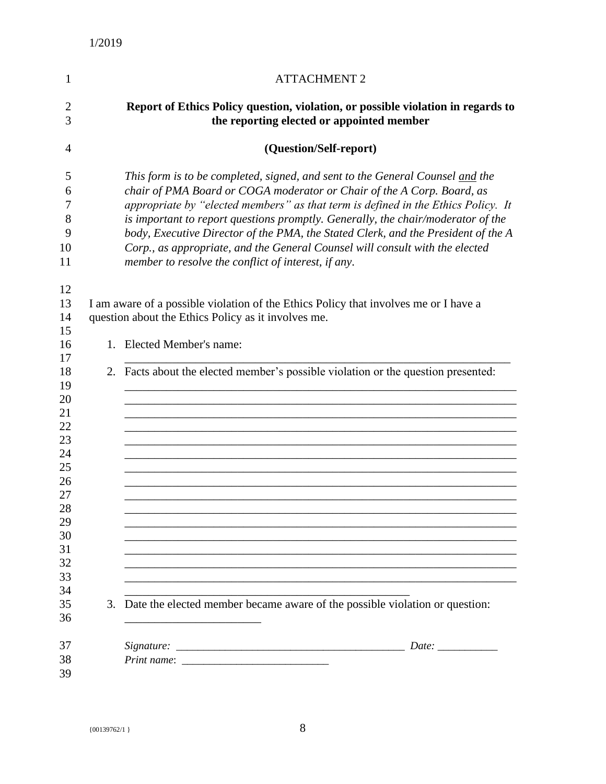| 1                                                                                                  | <b>ATTACHMENT 2</b>                                                                                                                                                                                                                                                                                                                                                                                                                                                                                                                                          |
|----------------------------------------------------------------------------------------------------|--------------------------------------------------------------------------------------------------------------------------------------------------------------------------------------------------------------------------------------------------------------------------------------------------------------------------------------------------------------------------------------------------------------------------------------------------------------------------------------------------------------------------------------------------------------|
| $\overline{c}$<br>3                                                                                | Report of Ethics Policy question, violation, or possible violation in regards to<br>the reporting elected or appointed member                                                                                                                                                                                                                                                                                                                                                                                                                                |
| $\overline{4}$                                                                                     | (Question/Self-report)                                                                                                                                                                                                                                                                                                                                                                                                                                                                                                                                       |
| 5<br>6<br>7<br>8<br>9<br>10<br>11                                                                  | This form is to be completed, signed, and sent to the General Counsel and the<br>chair of PMA Board or COGA moderator or Chair of the A Corp. Board, as<br>appropriate by "elected members" as that term is defined in the Ethics Policy. It<br>is important to report questions promptly. Generally, the chair/moderator of the<br>body, Executive Director of the PMA, the Stated Clerk, and the President of the A<br>Corp., as appropriate, and the General Counsel will consult with the elected<br>member to resolve the conflict of interest, if any. |
| 12<br>13<br>14<br>15                                                                               | I am aware of a possible violation of the Ethics Policy that involves me or I have a<br>question about the Ethics Policy as it involves me.                                                                                                                                                                                                                                                                                                                                                                                                                  |
| 16                                                                                                 | 1. Elected Member's name:                                                                                                                                                                                                                                                                                                                                                                                                                                                                                                                                    |
| 17<br>18<br>19<br>20<br>21<br>22<br>23<br>24<br>25<br>26<br>27<br>28<br>29<br>30<br>31<br>32<br>33 | 2. Facts about the elected member's possible violation or the question presented:                                                                                                                                                                                                                                                                                                                                                                                                                                                                            |
| 34<br>35<br>36                                                                                     | 3. Date the elected member became aware of the possible violation or question:                                                                                                                                                                                                                                                                                                                                                                                                                                                                               |
| 37<br>38<br>39                                                                                     | Date: $\_\_$                                                                                                                                                                                                                                                                                                                                                                                                                                                                                                                                                 |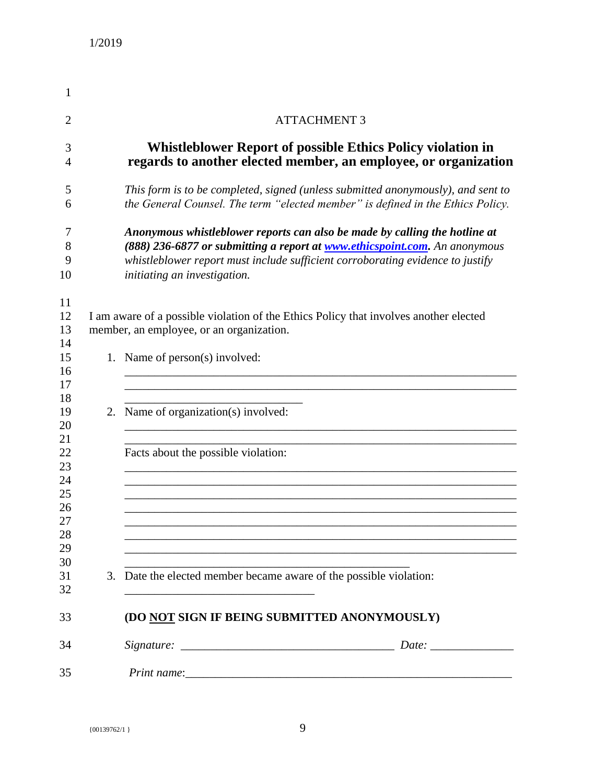| 1                                            |                                                                                                                                                                                                                                                                                    |
|----------------------------------------------|------------------------------------------------------------------------------------------------------------------------------------------------------------------------------------------------------------------------------------------------------------------------------------|
| $\overline{2}$                               | <b>ATTACHMENT 3</b>                                                                                                                                                                                                                                                                |
| 3<br>4                                       | <b>Whistleblower Report of possible Ethics Policy violation in</b><br>regards to another elected member, an employee, or organization                                                                                                                                              |
| 5<br>6                                       | This form is to be completed, signed (unless submitted anonymously), and sent to<br>the General Counsel. The term "elected member" is defined in the Ethics Policy.                                                                                                                |
| 7<br>8<br>9<br>10                            | Anonymous whistleblower reports can also be made by calling the hotline at<br>(888) 236-6877 or submitting a report at <b>www.ethicspoint.com</b> . An anonymous<br>whistleblower report must include sufficient corroborating evidence to justify<br>initiating an investigation. |
| 11<br>12<br>13<br>14                         | I am aware of a possible violation of the Ethics Policy that involves another elected<br>member, an employee, or an organization.                                                                                                                                                  |
| 15<br>16<br>17                               | 1. Name of person(s) involved:                                                                                                                                                                                                                                                     |
| 18<br>19<br>20                               | 2. Name of organization(s) involved:                                                                                                                                                                                                                                               |
| 21<br>22<br>23<br>24<br>25<br>26<br>27<br>28 | Facts about the possible violation:                                                                                                                                                                                                                                                |
| 29<br>30<br>31<br>32                         | 3. Date the elected member became aware of the possible violation:                                                                                                                                                                                                                 |
| 33                                           | (DO NOT SIGN IF BEING SUBMITTED ANONYMOUSLY)                                                                                                                                                                                                                                       |
| 34                                           |                                                                                                                                                                                                                                                                                    |
| 35                                           |                                                                                                                                                                                                                                                                                    |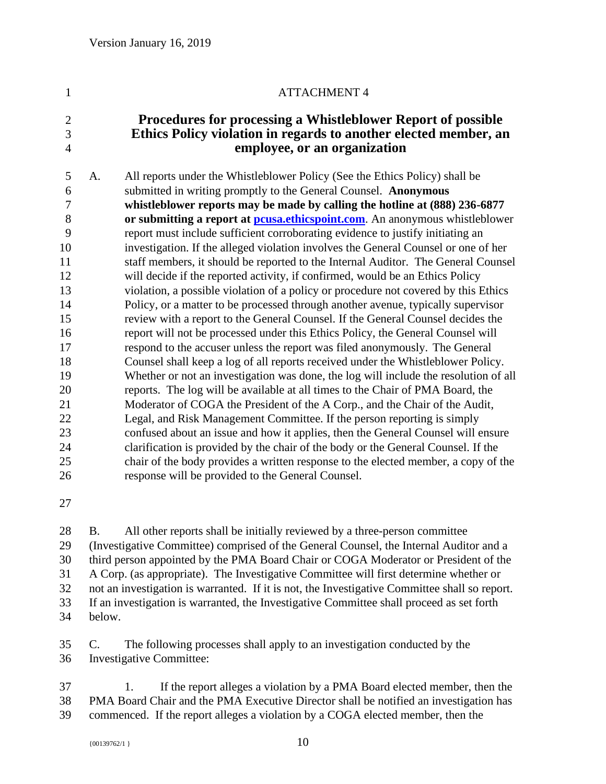# 1 ATTACHMENT 4 **Procedures for processing a Whistleblower Report of possible Ethics Policy violation in regards to another elected member, an employee, or an organization** A. All reports under the Whistleblower Policy (See the Ethics Policy) shall be submitted in writing promptly to the General Counsel. **Anonymous whistleblower reports may be made by calling the hotline at (888) 236-6877 or submitting a report at [pcusa.ethicspoint.com](https://secure.ethicspoint.com/domain/media/en/gui/17547/index.html)**. An anonymous whistleblower report must include sufficient corroborating evidence to justify initiating an investigation. If the alleged violation involves the General Counsel or one of her staff members, it should be reported to the Internal Auditor. The General Counsel will decide if the reported activity, if confirmed, would be an Ethics Policy violation, a possible violation of a policy or procedure not covered by this Ethics Policy, or a matter to be processed through another avenue, typically supervisor review with a report to the General Counsel. If the General Counsel decides the report will not be processed under this Ethics Policy, the General Counsel will respond to the accuser unless the report was filed anonymously. The General Counsel shall keep a log of all reports received under the Whistleblower Policy. Whether or not an investigation was done, the log will include the resolution of all reports. The log will be available at all times to the Chair of PMA Board, the Moderator of COGA the President of the A Corp., and the Chair of the Audit, Legal, and Risk Management Committee. If the person reporting is simply confused about an issue and how it applies, then the General Counsel will ensure clarification is provided by the chair of the body or the General Counsel. If the chair of the body provides a written response to the elected member, a copy of the response will be provided to the General Counsel.

 B. All other reports shall be initially reviewed by a three-person committee (Investigative Committee) comprised of the General Counsel, the Internal Auditor and a third person appointed by the PMA Board Chair or COGA Moderator or President of the A Corp. (as appropriate). The Investigative Committee will first determine whether or not an investigation is warranted. If it is not, the Investigative Committee shall so report. If an investigation is warranted, the Investigative Committee shall proceed as set forth below.

 C. The following processes shall apply to an investigation conducted by the Investigative Committee:

 1. If the report alleges a violation by a PMA Board elected member, then the PMA Board Chair and the PMA Executive Director shall be notified an investigation has commenced. If the report alleges a violation by a COGA elected member, then the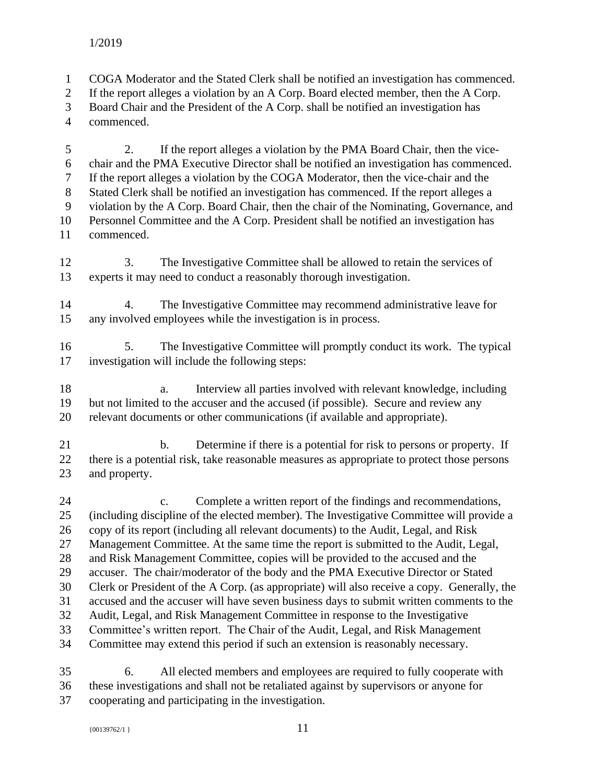COGA Moderator and the Stated Clerk shall be notified an investigation has commenced.

If the report alleges a violation by an A Corp. Board elected member, then the A Corp.

Board Chair and the President of the A Corp. shall be notified an investigation has

commenced.

 2. If the report alleges a violation by the PMA Board Chair, then the vice- chair and the PMA Executive Director shall be notified an investigation has commenced. If the report alleges a violation by the COGA Moderator, then the vice-chair and the Stated Clerk shall be notified an investigation has commenced. If the report alleges a violation by the A Corp. Board Chair, then the chair of the Nominating, Governance, and Personnel Committee and the A Corp. President shall be notified an investigation has commenced.

 3. The Investigative Committee shall be allowed to retain the services of experts it may need to conduct a reasonably thorough investigation.

 4. The Investigative Committee may recommend administrative leave for any involved employees while the investigation is in process.

 5. The Investigative Committee will promptly conduct its work. The typical investigation will include the following steps:

 a. Interview all parties involved with relevant knowledge, including but not limited to the accuser and the accused (if possible). Secure and review any relevant documents or other communications (if available and appropriate).

21 b. Determine if there is a potential for risk to persons or property. If there is a potential risk, take reasonable measures as appropriate to protect those persons and property.

 c. Complete a written report of the findings and recommendations, (including discipline of the elected member). The Investigative Committee will provide a copy of its report (including all relevant documents) to the Audit, Legal, and Risk Management Committee. At the same time the report is submitted to the Audit, Legal, and Risk Management Committee, copies will be provided to the accused and the accuser. The chair/moderator of the body and the PMA Executive Director or Stated Clerk or President of the A Corp. (as appropriate) will also receive a copy. Generally, the accused and the accuser will have seven business days to submit written comments to the Audit, Legal, and Risk Management Committee in response to the Investigative Committee's written report. The Chair of the Audit, Legal, and Risk Management Committee may extend this period if such an extension is reasonably necessary.

 6. All elected members and employees are required to fully cooperate with these investigations and shall not be retaliated against by supervisors or anyone for cooperating and participating in the investigation.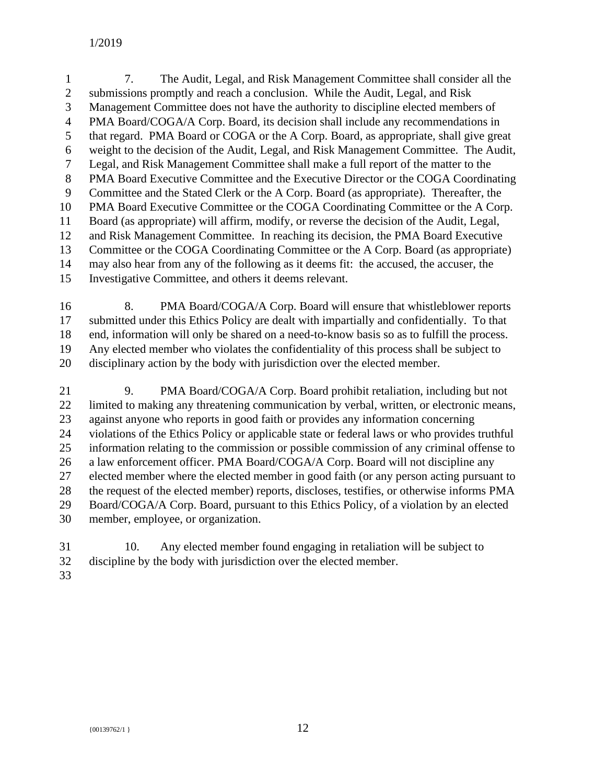7. The Audit, Legal, and Risk Management Committee shall consider all the submissions promptly and reach a conclusion. While the Audit, Legal, and Risk Management Committee does not have the authority to discipline elected members of PMA Board/COGA/A Corp. Board, its decision shall include any recommendations in that regard. PMA Board or COGA or the A Corp. Board, as appropriate, shall give great weight to the decision of the Audit, Legal, and Risk Management Committee. The Audit, Legal, and Risk Management Committee shall make a full report of the matter to the PMA Board Executive Committee and the Executive Director or the COGA Coordinating Committee and the Stated Clerk or the A Corp. Board (as appropriate). Thereafter, the PMA Board Executive Committee or the COGA Coordinating Committee or the A Corp. Board (as appropriate) will affirm, modify, or reverse the decision of the Audit, Legal, and Risk Management Committee. In reaching its decision, the PMA Board Executive Committee or the COGA Coordinating Committee or the A Corp. Board (as appropriate) may also hear from any of the following as it deems fit: the accused, the accuser, the Investigative Committee, and others it deems relevant.

 8. PMA Board/COGA/A Corp. Board will ensure that whistleblower reports submitted under this Ethics Policy are dealt with impartially and confidentially. To that end, information will only be shared on a need-to-know basis so as to fulfill the process. Any elected member who violates the confidentiality of this process shall be subject to disciplinary action by the body with jurisdiction over the elected member.

21 9. PMA Board/COGA/A Corp. Board prohibit retaliation, including but not limited to making any threatening communication by verbal, written, or electronic means, against anyone who reports in good faith or provides any information concerning violations of the Ethics Policy or applicable state or federal laws or who provides truthful information relating to the commission or possible commission of any criminal offense to a law enforcement officer. PMA Board/COGA/A Corp. Board will not discipline any elected member where the elected member in good faith (or any person acting pursuant to the request of the elected member) reports, discloses, testifies, or otherwise informs PMA Board/COGA/A Corp. Board, pursuant to this Ethics Policy, of a violation by an elected member, employee, or organization.

- 10. Any elected member found engaging in retaliation will be subject to discipline by the body with jurisdiction over the elected member.
-